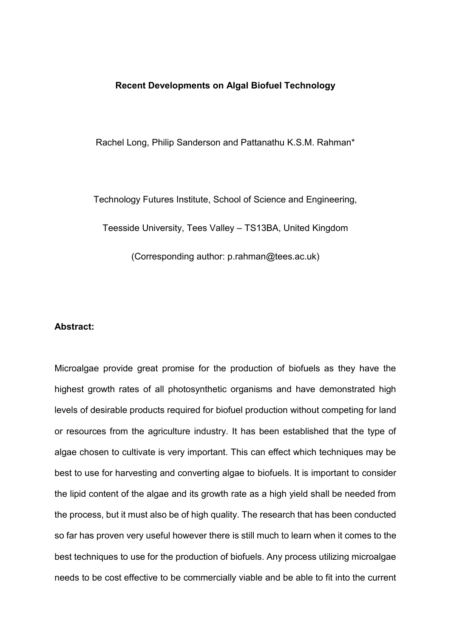## **Recent Developments on Algal Biofuel Technology**

Rachel Long, Philip Sanderson and Pattanathu K.S.M. Rahman\*

Technology Futures Institute, School of Science and Engineering, Teesside University, Tees Valley – TS13BA, United Kingdom (Corresponding author: p.rahman@tees.ac.uk)

# **Abstract:**

Microalgae provide great promise for the production of biofuels as they have the highest growth rates of all photosynthetic organisms and have demonstrated high levels of desirable products required for biofuel production without competing for land or resources from the agriculture industry. It has been established that the type of algae chosen to cultivate is very important. This can effect which techniques may be best to use for harvesting and converting algae to biofuels. It is important to consider the lipid content of the algae and its growth rate as a high yield shall be needed from the process, but it must also be of high quality. The research that has been conducted so far has proven very useful however there is still much to learn when it comes to the best techniques to use for the production of biofuels. Any process utilizing microalgae needs to be cost effective to be commercially viable and be able to fit into the current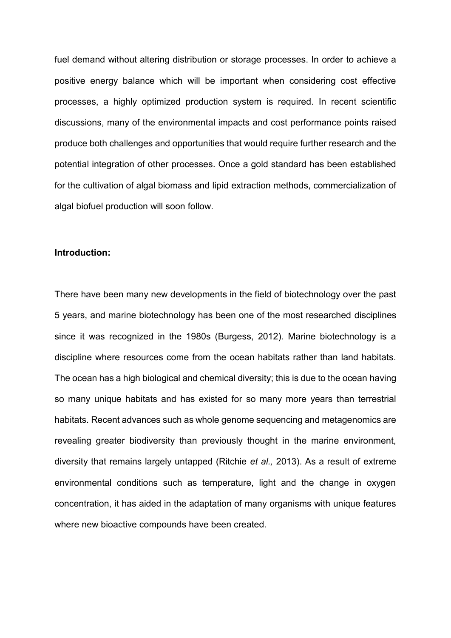fuel demand without altering distribution or storage processes. In order to achieve a positive energy balance which will be important when considering cost effective processes, a highly optimized production system is required. In recent scientific discussions, many of the environmental impacts and cost performance points raised produce both challenges and opportunities that would require further research and the potential integration of other processes. Once a gold standard has been established for the cultivation of algal biomass and lipid extraction methods, commercialization of algal biofuel production will soon follow.

## **Introduction:**

There have been many new developments in the field of biotechnology over the past 5 years, and marine biotechnology has been one of the most researched disciplines since it was recognized in the 1980s (Burgess, 2012). Marine biotechnology is a discipline where resources come from the ocean habitats rather than land habitats. The ocean has a high biological and chemical diversity; this is due to the ocean having so many unique habitats and has existed for so many more years than terrestrial habitats. Recent advances such as whole genome sequencing and metagenomics are revealing greater biodiversity than previously thought in the marine environment, diversity that remains largely untapped (Ritchie *et al.,* 2013). As a result of extreme environmental conditions such as temperature, light and the change in oxygen concentration, it has aided in the adaptation of many organisms with unique features where new bioactive compounds have been created.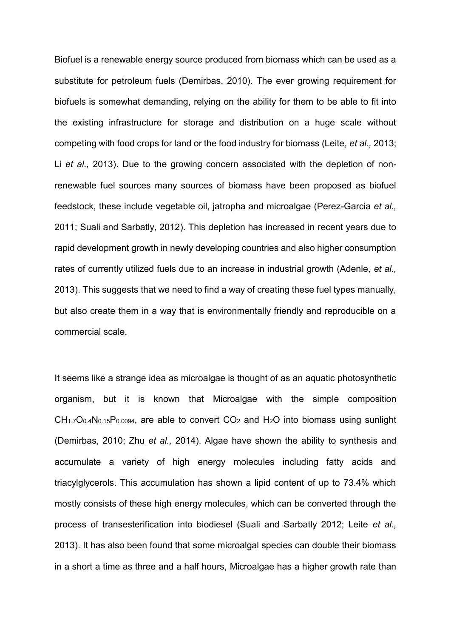Biofuel is a renewable energy source produced from biomass which can be used as a substitute for petroleum fuels (Demirbas, 2010). The ever growing requirement for biofuels is somewhat demanding, relying on the ability for them to be able to fit into the existing infrastructure for storage and distribution on a huge scale without competing with food crops for land or the food industry for biomass (Leite, *et al.,* 2013; Li *et al.,* 2013). Due to the growing concern associated with the depletion of nonrenewable fuel sources many sources of biomass have been proposed as biofuel feedstock, these include vegetable oil, jatropha and microalgae (Perez-Garcia *et al.,* 2011; Suali and Sarbatly, 2012). This depletion has increased in recent years due to rapid development growth in newly developing countries and also higher consumption rates of currently utilized fuels due to an increase in industrial growth (Adenle, *et al.,* 2013). This suggests that we need to find a way of creating these fuel types manually, but also create them in a way that is environmentally friendly and reproducible on a commercial scale.

It seems like a strange idea as microalgae is thought of as an aquatic photosynthetic organism, but it is known that Microalgae with the simple composition  $CH_{1.7}O_{0.4}N_{0.15}P_{0.0094}$ , are able to convert  $CO<sub>2</sub>$  and  $H<sub>2</sub>O$  into biomass using sunlight (Demirbas, 2010; Zhu *et al.,* 2014). Algae have shown the ability to synthesis and accumulate a variety of high energy molecules including fatty acids and triacylglycerols. This accumulation has shown a lipid content of up to 73.4% which mostly consists of these high energy molecules, which can be converted through the process of transesterification into biodiesel (Suali and Sarbatly 2012; Leite *et al.,* 2013). It has also been found that some microalgal species can double their biomass in a short a time as three and a half hours, Microalgae has a higher growth rate than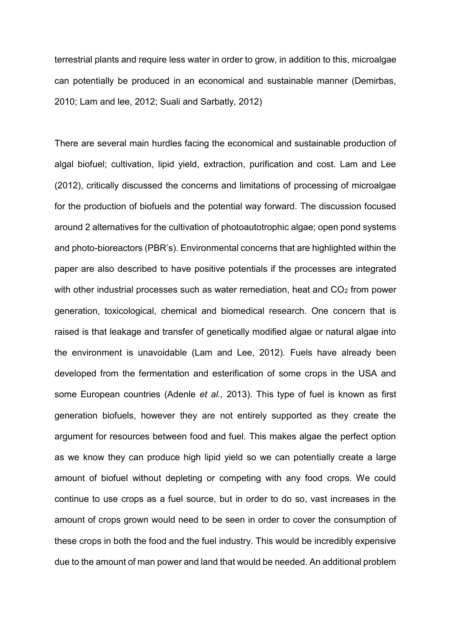terrestrial plants and require less water in order to grow, in addition to this, microalgae can potentially be produced in an economical and sustainable manner (Demirbas, 2010; Lam and lee, 2012; Suali and Sarbatly, 2012)

There are several main hurdles facing the economical and sustainable production of algal biofuel; cultivation, lipid yield, extraction, purification and cost. Lam and Lee (2012), critically discussed the concerns and limitations of processing of microalgae for the production of biofuels and the potential way forward. The discussion focused around 2 alternatives for the cultivation of photoautotrophic algae; open pond systems and photo-bioreactors (PBR's). Environmental concerns that are highlighted within the paper are also described to have positive potentials if the processes are integrated with other industrial processes such as water remediation, heat and  $CO<sub>2</sub>$  from power generation, toxicological, chemical and biomedical research. One concern that is raised is that leakage and transfer of genetically modified algae or natural algae into the environment is unavoidable (Lam and Lee, 2012). Fuels have already been developed from the fermentation and esterification of some crops in the USA and some European countries (Adenle *et al.,* 2013). This type of fuel is known as first generation biofuels, however they are not entirely supported as they create the argument for resources between food and fuel. This makes algae the perfect option as we know they can produce high lipid yield so we can potentially create a large amount of biofuel without depleting or competing with any food crops. We could continue to use crops as a fuel source, but in order to do so, vast increases in the amount of crops grown would need to be seen in order to cover the consumption of these crops in both the food and the fuel industry. This would be incredibly expensive due to the amount of man power and land that would be needed. An additional problem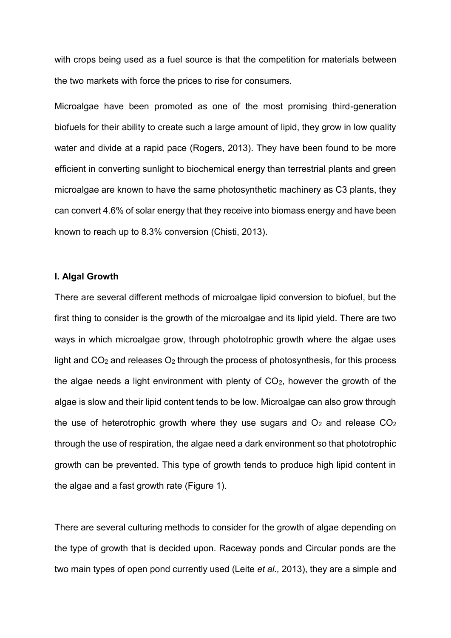with crops being used as a fuel source is that the competition for materials between the two markets with force the prices to rise for consumers.

Microalgae have been promoted as one of the most promising third-generation biofuels for their ability to create such a large amount of lipid, they grow in low quality water and divide at a rapid pace (Rogers, 2013). They have been found to be more efficient in converting sunlight to biochemical energy than terrestrial plants and green microalgae are known to have the same photosynthetic machinery as C3 plants, they can convert 4.6% of solar energy that they receive into biomass energy and have been known to reach up to 8.3% conversion (Chisti, 2013).

#### **I. Algal Growth**

There are several different methods of microalgae lipid conversion to biofuel, but the first thing to consider is the growth of the microalgae and its lipid yield. There are two ways in which microalgae grow, through phototrophic growth where the algae uses light and  $CO<sub>2</sub>$  and releases  $O<sub>2</sub>$  through the process of photosynthesis, for this process the algae needs a light environment with plenty of  $CO<sub>2</sub>$ , however the growth of the algae is slow and their lipid content tends to be low. Microalgae can also grow through the use of heterotrophic growth where they use sugars and  $O<sub>2</sub>$  and release  $CO<sub>2</sub>$ through the use of respiration, the algae need a dark environment so that phototrophic growth can be prevented. This type of growth tends to produce high lipid content in the algae and a fast growth rate (Figure 1).

There are several culturing methods to consider for the growth of algae depending on the type of growth that is decided upon. Raceway ponds and Circular ponds are the two main types of open pond currently used (Leite *et al.,* 2013), they are a simple and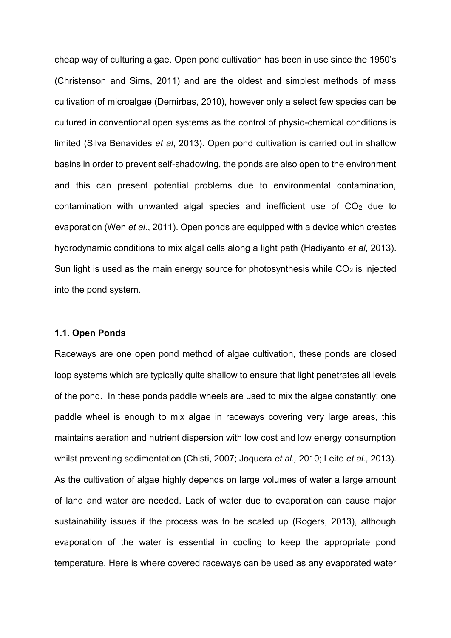cheap way of culturing algae. Open pond cultivation has been in use since the 1950's (Christenson and Sims, 2011) and are the oldest and simplest methods of mass cultivation of microalgae (Demirbas, 2010), however only a select few species can be cultured in conventional open systems as the control of physio-chemical conditions is limited (Silva Benavides *et al*, 2013). Open pond cultivation is carried out in shallow basins in order to prevent self-shadowing, the ponds are also open to the environment and this can present potential problems due to environmental contamination, contamination with unwanted algal species and inefficient use of  $CO<sub>2</sub>$  due to evaporation (Wen *et al*., 2011). Open ponds are equipped with a device which creates hydrodynamic conditions to mix algal cells along a light path (Hadiyanto *et al*, 2013). Sun light is used as the main energy source for photosynthesis while  $CO<sub>2</sub>$  is injected into the pond system.

#### **1.1. Open Ponds**

Raceways are one open pond method of algae cultivation, these ponds are closed loop systems which are typically quite shallow to ensure that light penetrates all levels of the pond. In these ponds paddle wheels are used to mix the algae constantly; one paddle wheel is enough to mix algae in raceways covering very large areas, this maintains aeration and nutrient dispersion with low cost and low energy consumption whilst preventing sedimentation (Chisti, 2007; Joquera *et al.,* 2010; Leite *et al.,* 2013). As the cultivation of algae highly depends on large volumes of water a large amount of land and water are needed. Lack of water due to evaporation can cause major sustainability issues if the process was to be scaled up (Rogers, 2013), although evaporation of the water is essential in cooling to keep the appropriate pond temperature. Here is where covered raceways can be used as any evaporated water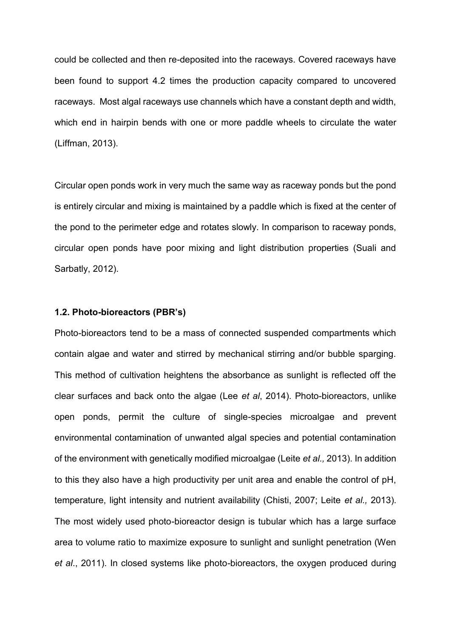could be collected and then re-deposited into the raceways. Covered raceways have been found to support 4.2 times the production capacity compared to uncovered raceways. Most algal raceways use channels which have a constant depth and width, which end in hairpin bends with one or more paddle wheels to circulate the water (Liffman, 2013).

Circular open ponds work in very much the same way as raceway ponds but the pond is entirely circular and mixing is maintained by a paddle which is fixed at the center of the pond to the perimeter edge and rotates slowly. In comparison to raceway ponds, circular open ponds have poor mixing and light distribution properties (Suali and Sarbatly, 2012).

## **1.2. Photo-bioreactors (PBR's)**

Photo-bioreactors tend to be a mass of connected suspended compartments which contain algae and water and stirred by mechanical stirring and/or bubble sparging. This method of cultivation heightens the absorbance as sunlight is reflected off the clear surfaces and back onto the algae (Lee *et al*, 2014). Photo-bioreactors, unlike open ponds, permit the culture of single-species microalgae and prevent environmental contamination of unwanted algal species and potential contamination of the environment with genetically modified microalgae (Leite *et al.,* 2013). In addition to this they also have a high productivity per unit area and enable the control of pH, temperature, light intensity and nutrient availability (Chisti, 2007; Leite *et al.,* 2013). The most widely used photo-bioreactor design is tubular which has a large surface area to volume ratio to maximize exposure to sunlight and sunlight penetration (Wen *et al*., 2011). In closed systems like photo-bioreactors, the oxygen produced during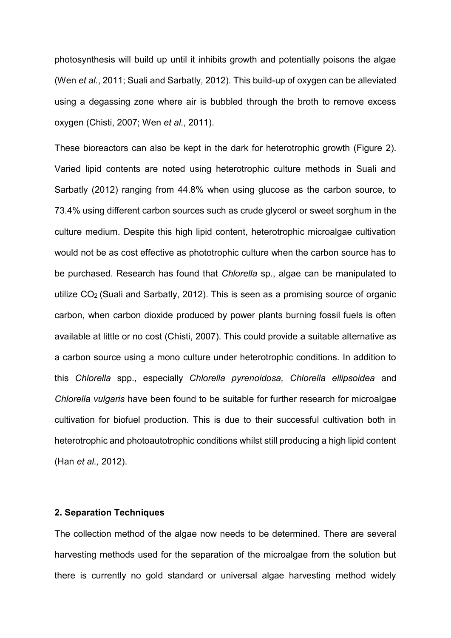photosynthesis will build up until it inhibits growth and potentially poisons the algae (Wen *et al.*, 2011; Suali and Sarbatly, 2012). This build-up of oxygen can be alleviated using a degassing zone where air is bubbled through the broth to remove excess oxygen (Chisti, 2007; Wen *et al.*, 2011).

These bioreactors can also be kept in the dark for heterotrophic growth (Figure 2). Varied lipid contents are noted using heterotrophic culture methods in Suali and Sarbatly (2012) ranging from 44.8% when using glucose as the carbon source, to 73.4% using different carbon sources such as crude glycerol or sweet sorghum in the culture medium. Despite this high lipid content, heterotrophic microalgae cultivation would not be as cost effective as phototrophic culture when the carbon source has to be purchased. Research has found that *Chlorella* sp., algae can be manipulated to utilize CO2 (Suali and Sarbatly, 2012). This is seen as a promising source of organic carbon, when carbon dioxide produced by power plants burning fossil fuels is often available at little or no cost (Chisti, 2007). This could provide a suitable alternative as a carbon source using a mono culture under heterotrophic conditions. In addition to this *Chlorella* spp., especially *Chlorella pyrenoidosa, Chlorella ellipsoidea* and *Chlorella vulgaris* have been found to be suitable for further research for microalgae cultivation for biofuel production. This is due to their successful cultivation both in heterotrophic and photoautotrophic conditions whilst still producing a high lipid content (Han *et al.,* 2012).

# **2. Separation Techniques**

The collection method of the algae now needs to be determined. There are several harvesting methods used for the separation of the microalgae from the solution but there is currently no gold standard or universal algae harvesting method widely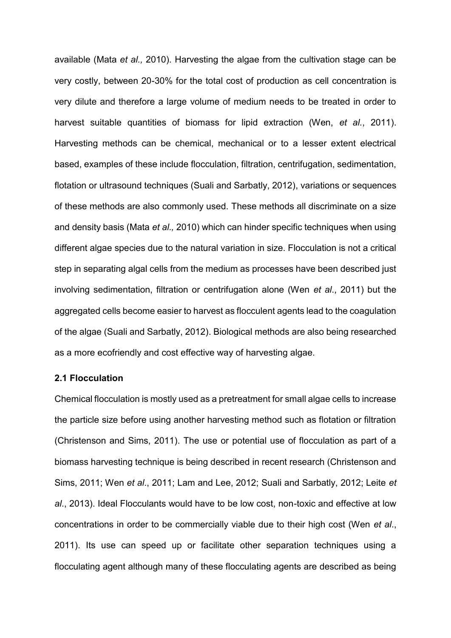available (Mata *et al.,* 2010). Harvesting the algae from the cultivation stage can be very costly, between 20-30% for the total cost of production as cell concentration is very dilute and therefore a large volume of medium needs to be treated in order to harvest suitable quantities of biomass for lipid extraction (Wen, *et al.*, 2011). Harvesting methods can be chemical, mechanical or to a lesser extent electrical based, examples of these include flocculation, filtration, centrifugation, sedimentation, flotation or ultrasound techniques (Suali and Sarbatly, 2012), variations or sequences of these methods are also commonly used. These methods all discriminate on a size and density basis (Mata *et al.,* 2010) which can hinder specific techniques when using different algae species due to the natural variation in size. Flocculation is not a critical step in separating algal cells from the medium as processes have been described just involving sedimentation, filtration or centrifugation alone (Wen *et al*., 2011) but the aggregated cells become easier to harvest as flocculent agents lead to the coagulation of the algae (Suali and Sarbatly, 2012). Biological methods are also being researched as a more ecofriendly and cost effective way of harvesting algae.

# **2.1 Flocculation**

Chemical flocculation is mostly used as a pretreatment for small algae cells to increase the particle size before using another harvesting method such as flotation or filtration (Christenson and Sims, 2011). The use or potential use of flocculation as part of a biomass harvesting technique is being described in recent research (Christenson and Sims, 2011; Wen *et al*., 2011; Lam and Lee, 2012; Suali and Sarbatly, 2012; Leite *et al*., 2013). Ideal Flocculants would have to be low cost, non-toxic and effective at low concentrations in order to be commercially viable due to their high cost (Wen *et al*., 2011). Its use can speed up or facilitate other separation techniques using a flocculating agent although many of these flocculating agents are described as being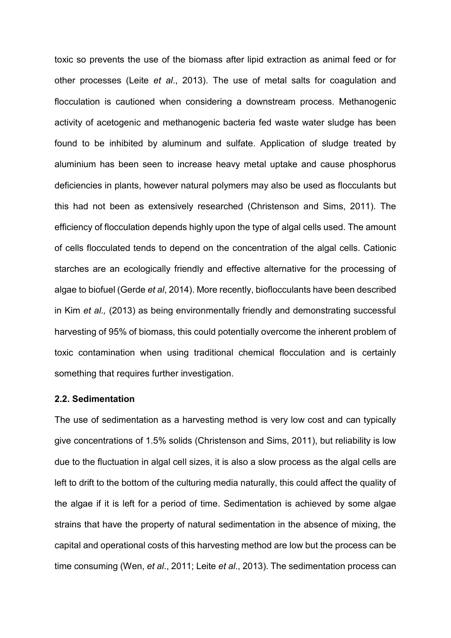toxic so prevents the use of the biomass after lipid extraction as animal feed or for other processes (Leite *et al*., 2013). The use of metal salts for coagulation and flocculation is cautioned when considering a downstream process. Methanogenic activity of acetogenic and methanogenic bacteria fed waste water sludge has been found to be inhibited by aluminum and sulfate. Application of sludge treated by aluminium has been seen to increase heavy metal uptake and cause phosphorus deficiencies in plants, however natural polymers may also be used as flocculants but this had not been as extensively researched (Christenson and Sims, 2011). The efficiency of flocculation depends highly upon the type of algal cells used. The amount of cells flocculated tends to depend on the concentration of the algal cells. Cationic starches are an ecologically friendly and effective alternative for the processing of algae to biofuel (Gerde *et al*, 2014). More recently, bioflocculants have been described in Kim *et al.,* (2013) as being environmentally friendly and demonstrating successful harvesting of 95% of biomass, this could potentially overcome the inherent problem of toxic contamination when using traditional chemical flocculation and is certainly something that requires further investigation.

## **2.2. Sedimentation**

The use of sedimentation as a harvesting method is very low cost and can typically give concentrations of 1.5% solids (Christenson and Sims, 2011), but reliability is low due to the fluctuation in algal cell sizes, it is also a slow process as the algal cells are left to drift to the bottom of the culturing media naturally, this could affect the quality of the algae if it is left for a period of time. Sedimentation is achieved by some algae strains that have the property of natural sedimentation in the absence of mixing, the capital and operational costs of this harvesting method are low but the process can be time consuming (Wen, *et al*., 2011; Leite *et al*., 2013). The sedimentation process can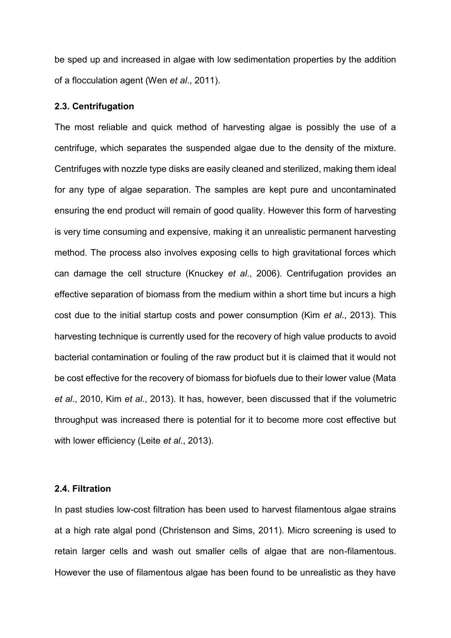be sped up and increased in algae with low sedimentation properties by the addition of a flocculation agent (Wen *et al*., 2011).

#### **2.3. Centrifugation**

The most reliable and quick method of harvesting algae is possibly the use of a centrifuge, which separates the suspended algae due to the density of the mixture. Centrifuges with nozzle type disks are easily cleaned and sterilized, making them ideal for any type of algae separation. The samples are kept pure and uncontaminated ensuring the end product will remain of good quality. However this form of harvesting is very time consuming and expensive, making it an unrealistic permanent harvesting method. The process also involves exposing cells to high gravitational forces which can damage the cell structure (Knuckey *et al*., 2006). Centrifugation provides an effective separation of biomass from the medium within a short time but incurs a high cost due to the initial startup costs and power consumption (Kim *et al*., 2013). This harvesting technique is currently used for the recovery of high value products to avoid bacterial contamination or fouling of the raw product but it is claimed that it would not be cost effective for the recovery of biomass for biofuels due to their lower value (Mata *et al*., 2010, Kim *et al*., 2013). It has, however, been discussed that if the volumetric throughput was increased there is potential for it to become more cost effective but with lower efficiency (Leite *et al*., 2013).

## **2.4. Filtration**

In past studies low-cost filtration has been used to harvest filamentous algae strains at a high rate algal pond (Christenson and Sims, 2011). Micro screening is used to retain larger cells and wash out smaller cells of algae that are non-filamentous. However the use of filamentous algae has been found to be unrealistic as they have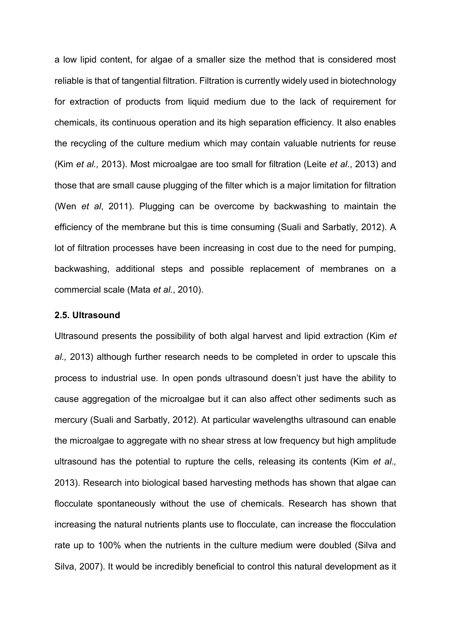a low lipid content, for algae of a smaller size the method that is considered most reliable is that of tangential filtration. Filtration is currently widely used in biotechnology for extraction of products from liquid medium due to the lack of requirement for chemicals, its continuous operation and its high separation efficiency. It also enables the recycling of the culture medium which may contain valuable nutrients for reuse (Kim *et al.,* 2013). Most microalgae are too small for filtration (Leite *et al*., 2013) and those that are small cause plugging of the filter which is a major limitation for filtration (Wen *et al*, 2011). Plugging can be overcome by backwashing to maintain the efficiency of the membrane but this is time consuming (Suali and Sarbatly, 2012). A lot of filtration processes have been increasing in cost due to the need for pumping, backwashing, additional steps and possible replacement of membranes on a commercial scale (Mata *et al.*, 2010).

#### **2.5. Ultrasound**

Ultrasound presents the possibility of both algal harvest and lipid extraction (Kim *et al.,* 2013) although further research needs to be completed in order to upscale this process to industrial use. In open ponds ultrasound doesn't just have the ability to cause aggregation of the microalgae but it can also affect other sediments such as mercury (Suali and Sarbatly, 2012). At particular wavelengths ultrasound can enable the microalgae to aggregate with no shear stress at low frequency but high amplitude ultrasound has the potential to rupture the cells, releasing its contents (Kim *et al.,* 2013). Research into biological based harvesting methods has shown that algae can flocculate spontaneously without the use of chemicals. Research has shown that increasing the natural nutrients plants use to flocculate, can increase the flocculation rate up to 100% when the nutrients in the culture medium were doubled (Silva and Silva, 2007). It would be incredibly beneficial to control this natural development as it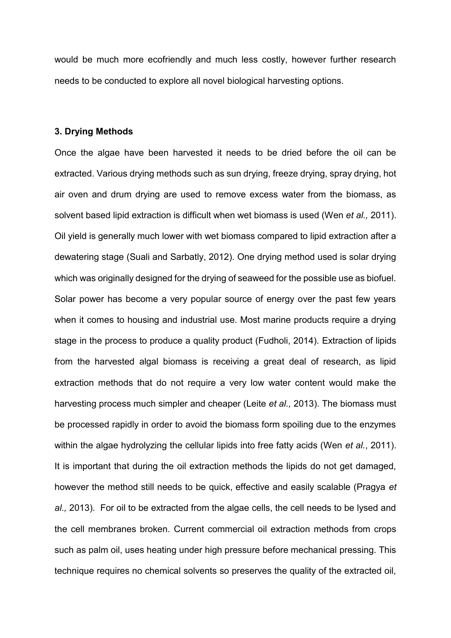would be much more ecofriendly and much less costly, however further research needs to be conducted to explore all novel biological harvesting options.

#### **3. Drying Methods**

Once the algae have been harvested it needs to be dried before the oil can be extracted. Various drying methods such as sun drying, freeze drying, spray drying, hot air oven and drum drying are used to remove excess water from the biomass, as solvent based lipid extraction is difficult when wet biomass is used (Wen *et al.,* 2011). Oil yield is generally much lower with wet biomass compared to lipid extraction after a dewatering stage (Suali and Sarbatly, 2012). One drying method used is solar drying which was originally designed for the drying of seaweed for the possible use as biofuel. Solar power has become a very popular source of energy over the past few years when it comes to housing and industrial use. Most marine products require a drying stage in the process to produce a quality product (Fudholi, 2014). Extraction of lipids from the harvested algal biomass is receiving a great deal of research, as lipid extraction methods that do not require a very low water content would make the harvesting process much simpler and cheaper (Leite *et al.,* 2013). The biomass must be processed rapidly in order to avoid the biomass form spoiling due to the enzymes within the algae hydrolyzing the cellular lipids into free fatty acids (Wen *et al.*, 2011). It is important that during the oil extraction methods the lipids do not get damaged, however the method still needs to be quick, effective and easily scalable (Pragya *et al.,* 2013). For oil to be extracted from the algae cells, the cell needs to be lysed and the cell membranes broken. Current commercial oil extraction methods from crops such as palm oil, uses heating under high pressure before mechanical pressing. This technique requires no chemical solvents so preserves the quality of the extracted oil,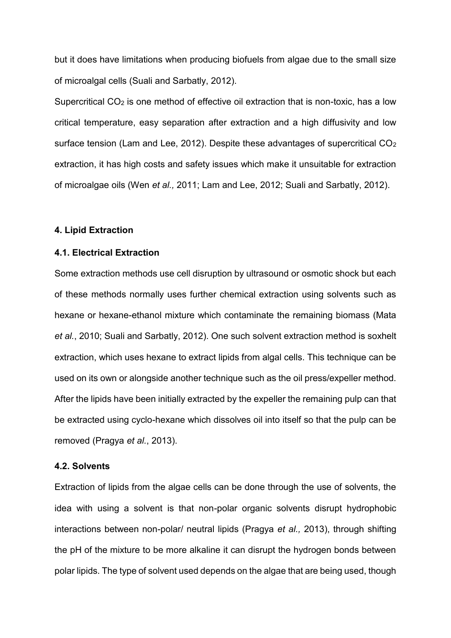but it does have limitations when producing biofuels from algae due to the small size of microalgal cells (Suali and Sarbatly, 2012).

Supercritical CO<sub>2</sub> is one method of effective oil extraction that is non-toxic, has a low critical temperature, easy separation after extraction and a high diffusivity and low surface tension (Lam and Lee, 2012). Despite these advantages of supercritical CO<sub>2</sub> extraction, it has high costs and safety issues which make it unsuitable for extraction of microalgae oils (Wen *et al.,* 2011; Lam and Lee, 2012; Suali and Sarbatly, 2012).

## **4. Lipid Extraction**

## **4.1. Electrical Extraction**

Some extraction methods use cell disruption by ultrasound or osmotic shock but each of these methods normally uses further chemical extraction using solvents such as hexane or hexane-ethanol mixture which contaminate the remaining biomass (Mata *et al.*, 2010; Suali and Sarbatly, 2012). One such solvent extraction method is soxhelt extraction, which uses hexane to extract lipids from algal cells. This technique can be used on its own or alongside another technique such as the oil press/expeller method. After the lipids have been initially extracted by the expeller the remaining pulp can that be extracted using cyclo-hexane which dissolves oil into itself so that the pulp can be removed (Pragya *et al.*, 2013).

## **4.2. Solvents**

Extraction of lipids from the algae cells can be done through the use of solvents, the idea with using a solvent is that non-polar organic solvents disrupt hydrophobic interactions between non-polar/ neutral lipids (Pragya *et al.,* 2013), through shifting the pH of the mixture to be more alkaline it can disrupt the hydrogen bonds between polar lipids. The type of solvent used depends on the algae that are being used, though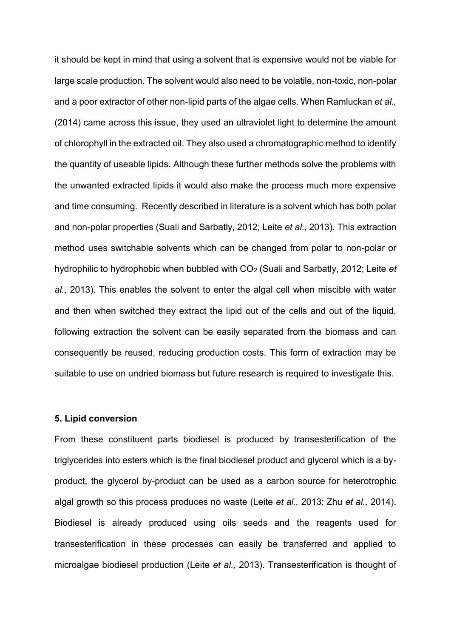it should be kept in mind that using a solvent that is expensive would not be viable for large scale production. The solvent would also need to be volatile, non-toxic, non-polar and a poor extractor of other non-lipid parts of the algae cells. When Ramluckan *et al.,* (2014) came across this issue, they used an ultraviolet light to determine the amount of chlorophyll in the extracted oil. They also used a chromatographic method to identify the quantity of useable lipids. Although these further methods solve the problems with the unwanted extracted lipids it would also make the process much more expensive and time consuming. Recently described in literature is a solvent which has both polar and non-polar properties (Suali and Sarbatly, 2012; Leite *et al.*, 2013). This extraction method uses switchable solvents which can be changed from polar to non-polar or hydrophilic to hydrophobic when bubbled with CO2 (Suali and Sarbatly, 2012; Leite *et al.*, 2013). This enables the solvent to enter the algal cell when miscible with water and then when switched they extract the lipid out of the cells and out of the liquid, following extraction the solvent can be easily separated from the biomass and can consequently be reused, reducing production costs. This form of extraction may be suitable to use on undried biomass but future research is required to investigate this.

# **5. Lipid conversion**

From these constituent parts biodiesel is produced by transesterification of the triglycerides into esters which is the final biodiesel product and glycerol which is a byproduct, the glycerol by-product can be used as a carbon source for heterotrophic algal growth so this process produces no waste (Leite *et al.,* 2013; Zhu *et al.,* 2014). Biodiesel is already produced using oils seeds and the reagents used for transesterification in these processes can easily be transferred and applied to microalgae biodiesel production (Leite *et al.,* 2013). Transesterification is thought of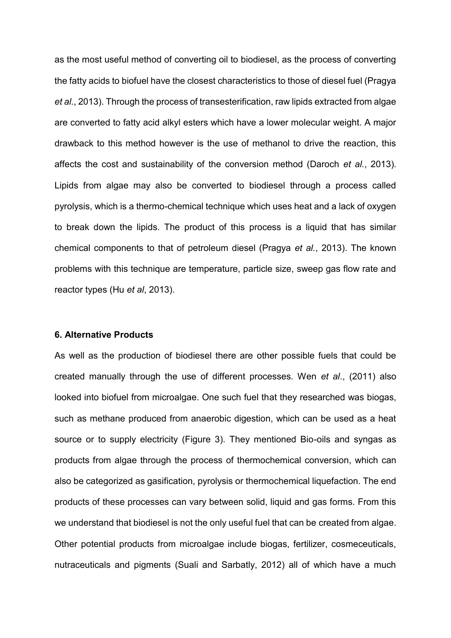as the most useful method of converting oil to biodiesel, as the process of converting the fatty acids to biofuel have the closest characteristics to those of diesel fuel (Pragya *et al.*, 2013). Through the process of transesterification, raw lipids extracted from algae are converted to fatty acid alkyl esters which have a lower molecular weight. A major drawback to this method however is the use of methanol to drive the reaction, this affects the cost and sustainability of the conversion method (Daroch *et al.*, 2013). Lipids from algae may also be converted to biodiesel through a process called pyrolysis, which is a thermo-chemical technique which uses heat and a lack of oxygen to break down the lipids. The product of this process is a liquid that has similar chemical components to that of petroleum diesel (Pragya *et al.*, 2013). The known problems with this technique are temperature, particle size, sweep gas flow rate and reactor types (Hu *et al*, 2013).

# **6. Alternative Products**

As well as the production of biodiesel there are other possible fuels that could be created manually through the use of different processes. Wen *et al*., (2011) also looked into biofuel from microalgae. One such fuel that they researched was biogas, such as methane produced from anaerobic digestion, which can be used as a heat source or to supply electricity (Figure 3). They mentioned Bio-oils and syngas as products from algae through the process of thermochemical conversion, which can also be categorized as gasification, pyrolysis or thermochemical liquefaction. The end products of these processes can vary between solid, liquid and gas forms. From this we understand that biodiesel is not the only useful fuel that can be created from algae. Other potential products from microalgae include biogas, fertilizer, cosmeceuticals, nutraceuticals and pigments (Suali and Sarbatly, 2012) all of which have a much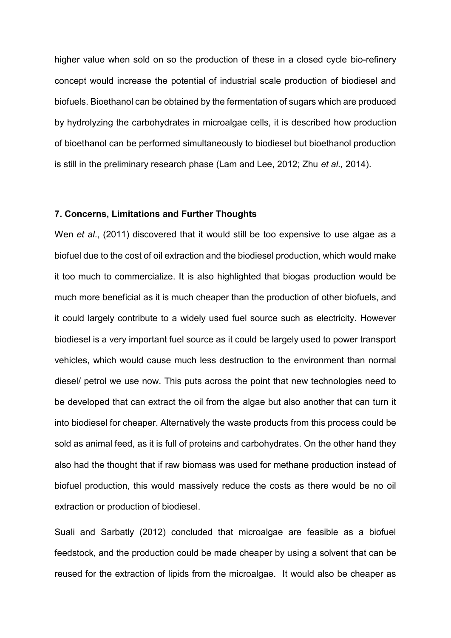higher value when sold on so the production of these in a closed cycle bio-refinery concept would increase the potential of industrial scale production of biodiesel and biofuels. Bioethanol can be obtained by the fermentation of sugars which are produced by hydrolyzing the carbohydrates in microalgae cells, it is described how production of bioethanol can be performed simultaneously to biodiesel but bioethanol production is still in the preliminary research phase (Lam and Lee, 2012; Zhu *et al.,* 2014).

# **7. Concerns, Limitations and Further Thoughts**

Wen *et al*., (2011) discovered that it would still be too expensive to use algae as a biofuel due to the cost of oil extraction and the biodiesel production, which would make it too much to commercialize. It is also highlighted that biogas production would be much more beneficial as it is much cheaper than the production of other biofuels, and it could largely contribute to a widely used fuel source such as electricity. However biodiesel is a very important fuel source as it could be largely used to power transport vehicles, which would cause much less destruction to the environment than normal diesel/ petrol we use now. This puts across the point that new technologies need to be developed that can extract the oil from the algae but also another that can turn it into biodiesel for cheaper. Alternatively the waste products from this process could be sold as animal feed, as it is full of proteins and carbohydrates. On the other hand they also had the thought that if raw biomass was used for methane production instead of biofuel production, this would massively reduce the costs as there would be no oil extraction or production of biodiesel.

Suali and Sarbatly (2012) concluded that microalgae are feasible as a biofuel feedstock, and the production could be made cheaper by using a solvent that can be reused for the extraction of lipids from the microalgae. It would also be cheaper as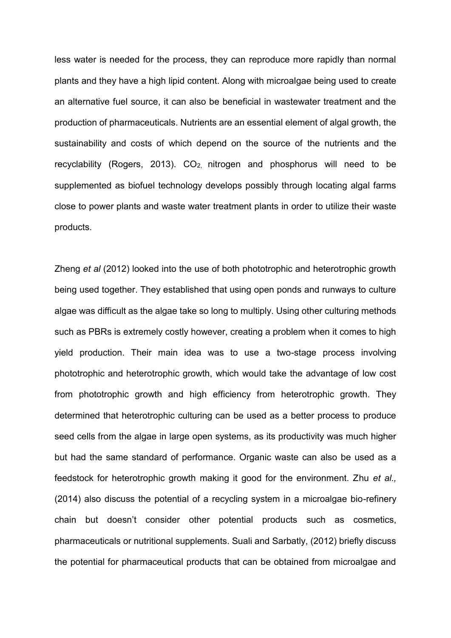less water is needed for the process, they can reproduce more rapidly than normal plants and they have a high lipid content. Along with microalgae being used to create an alternative fuel source, it can also be beneficial in wastewater treatment and the production of pharmaceuticals. Nutrients are an essential element of algal growth, the sustainability and costs of which depend on the source of the nutrients and the recyclability (Rogers, 2013). CO<sub>2</sub>, nitrogen and phosphorus will need to be supplemented as biofuel technology develops possibly through locating algal farms close to power plants and waste water treatment plants in order to utilize their waste products.

Zheng *et al* (2012) looked into the use of both phototrophic and heterotrophic growth being used together. They established that using open ponds and runways to culture algae was difficult as the algae take so long to multiply. Using other culturing methods such as PBRs is extremely costly however, creating a problem when it comes to high yield production. Their main idea was to use a two-stage process involving phototrophic and heterotrophic growth, which would take the advantage of low cost from phototrophic growth and high efficiency from heterotrophic growth. They determined that heterotrophic culturing can be used as a better process to produce seed cells from the algae in large open systems, as its productivity was much higher but had the same standard of performance. Organic waste can also be used as a feedstock for heterotrophic growth making it good for the environment. Zhu *et al.,*  (2014) also discuss the potential of a recycling system in a microalgae bio-refinery chain but doesn't consider other potential products such as cosmetics, pharmaceuticals or nutritional supplements. Suali and Sarbatly, (2012) briefly discuss the potential for pharmaceutical products that can be obtained from microalgae and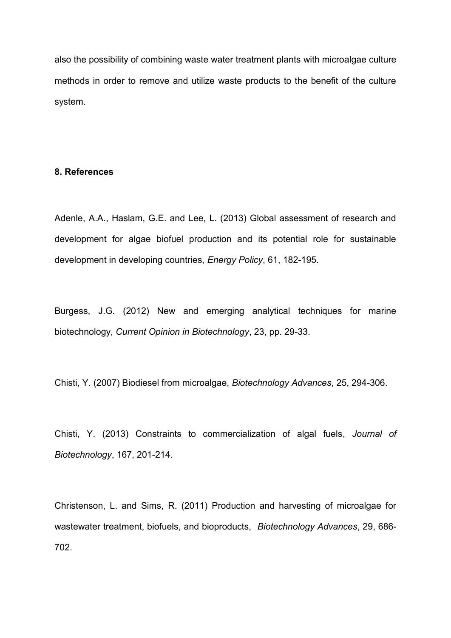also the possibility of combining waste water treatment plants with microalgae culture methods in order to remove and utilize waste products to the benefit of the culture system.

#### **8. References**

Adenle, A.A., Haslam, G.E. and Lee, L. (2013) Global assessment of research and development for algae biofuel production and its potential role for sustainable development in developing countries, *Energy Policy*, 61, 182-195.

Burgess, J.G. (2012) New and emerging analytical techniques for marine biotechnology, *Current Opinion in Biotechnology*, 23, pp. 29-33.

Chisti, Y. (2007) Biodiesel from microalgae, *Biotechnology Advances*, 25, 294-306.

Chisti, Y. (2013) Constraints to commercialization of algal fuels, *Journal of Biotechnology*, 167, 201-214.

Christenson, L. and Sims, R. (2011) Production and harvesting of microalgae for wastewater treatment, biofuels, and bioproducts, *Biotechnology Advances*, 29, 686- 702.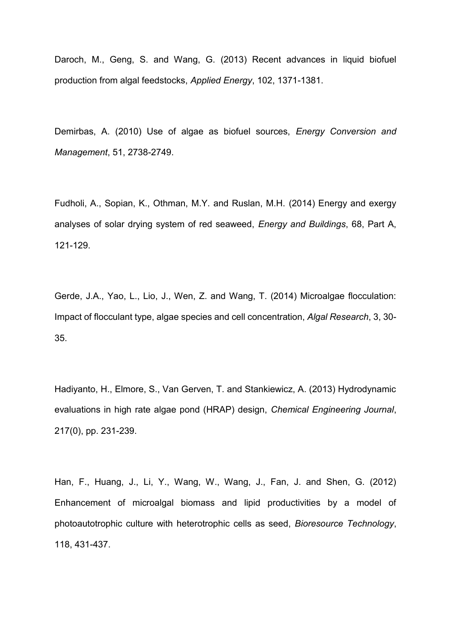Daroch, M., Geng, S. and Wang, G. (2013) Recent advances in liquid biofuel production from algal feedstocks, *Applied Energy*, 102, 1371-1381.

Demirbas, A. (2010) Use of algae as biofuel sources, *Energy Conversion and Management*, 51, 2738-2749.

Fudholi, A., Sopian, K., Othman, M.Y. and Ruslan, M.H. (2014) Energy and exergy analyses of solar drying system of red seaweed, *Energy and Buildings*, 68, Part A, 121-129.

Gerde, J.A., Yao, L., Lio, J., Wen, Z. and Wang, T. (2014) Microalgae flocculation: Impact of flocculant type, algae species and cell concentration, *Algal Research*, 3, 30- 35.

Hadiyanto, H., Elmore, S., Van Gerven, T. and Stankiewicz, A. (2013) Hydrodynamic evaluations in high rate algae pond (HRAP) design, *Chemical Engineering Journal*, 217(0), pp. 231-239.

Han, F., Huang, J., Li, Y., Wang, W., Wang, J., Fan, J. and Shen, G. (2012) Enhancement of microalgal biomass and lipid productivities by a model of photoautotrophic culture with heterotrophic cells as seed, *Bioresource Technology*, 118, 431-437.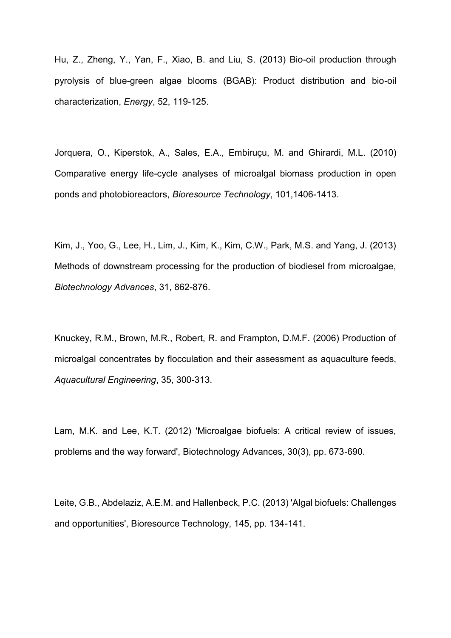Hu, Z., Zheng, Y., Yan, F., Xiao, B. and Liu, S. (2013) Bio-oil production through pyrolysis of blue-green algae blooms (BGAB): Product distribution and bio-oil characterization, *Energy*, 52, 119-125.

Jorquera, O., Kiperstok, A., Sales, E.A., Embiruçu, M. and Ghirardi, M.L. (2010) Comparative energy life-cycle analyses of microalgal biomass production in open ponds and photobioreactors, *Bioresource Technology*, 101,1406-1413.

Kim, J., Yoo, G., Lee, H., Lim, J., Kim, K., Kim, C.W., Park, M.S. and Yang, J. (2013) Methods of downstream processing for the production of biodiesel from microalgae, *Biotechnology Advances*, 31, 862-876.

Knuckey, R.M., Brown, M.R., Robert, R. and Frampton, D.M.F. (2006) Production of microalgal concentrates by flocculation and their assessment as aquaculture feeds, *Aquacultural Engineering*, 35, 300-313.

Lam, M.K. and Lee, K.T. (2012) 'Microalgae biofuels: A critical review of issues, problems and the way forward', Biotechnology Advances, 30(3), pp. 673-690.

Leite, G.B., Abdelaziz, A.E.M. and Hallenbeck, P.C. (2013) 'Algal biofuels: Challenges and opportunities', Bioresource Technology, 145, pp. 134-141.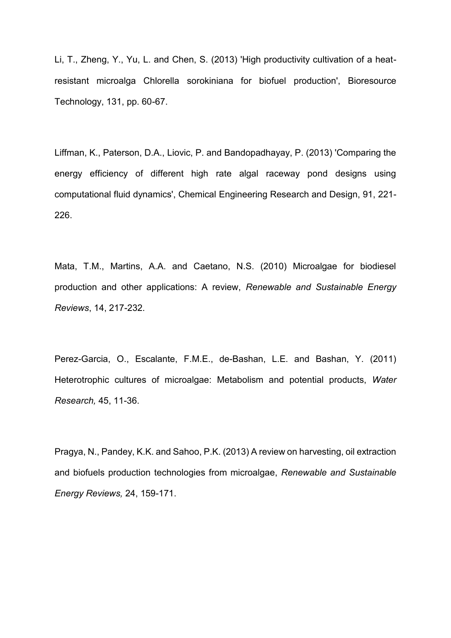Li, T., Zheng, Y., Yu, L. and Chen, S. (2013) 'High productivity cultivation of a heatresistant microalga Chlorella sorokiniana for biofuel production', Bioresource Technology, 131, pp. 60-67.

Liffman, K., Paterson, D.A., Liovic, P. and Bandopadhayay, P. (2013) 'Comparing the energy efficiency of different high rate algal raceway pond designs using computational fluid dynamics', Chemical Engineering Research and Design, 91, 221- 226.

Mata, T.M., Martins, A.A. and Caetano, N.S. (2010) Microalgae for biodiesel production and other applications: A review, *Renewable and Sustainable Energy Reviews*, 14, 217-232.

Perez-Garcia, O., Escalante, F.M.E., de-Bashan, L.E. and Bashan, Y. (2011) Heterotrophic cultures of microalgae: Metabolism and potential products, *Water Research,* 45, 11-36.

Pragya, N., Pandey, K.K. and Sahoo, P.K. (2013) A review on harvesting, oil extraction and biofuels production technologies from microalgae, *Renewable and Sustainable Energy Reviews,* 24, 159-171.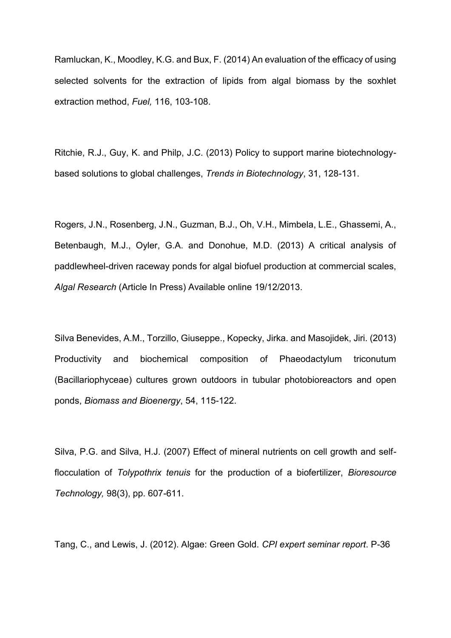Ramluckan, K., Moodley, K.G. and Bux, F. (2014) An evaluation of the efficacy of using selected solvents for the extraction of lipids from algal biomass by the soxhlet extraction method, *Fuel,* 116, 103-108.

Ritchie, R.J., Guy, K. and Philp, J.C. (2013) Policy to support marine biotechnologybased solutions to global challenges, *Trends in Biotechnology*, 31, 128-131.

Rogers, J.N., Rosenberg, J.N., Guzman, B.J., Oh, V.H., Mimbela, L.E., Ghassemi, A., Betenbaugh, M.J., Oyler, G.A. and Donohue, M.D. (2013) A critical analysis of paddlewheel-driven raceway ponds for algal biofuel production at commercial scales, *Algal Research* (Article In Press) Available online 19/12/2013.

Silva Benevides, A.M., Torzillo, Giuseppe., Kopecky, Jirka. and Masojidek, Jiri. (2013) Productivity and biochemical composition of Phaeodactylum triconutum (Bacillariophyceae) cultures grown outdoors in tubular photobioreactors and open ponds, *Biomass and Bioenergy*, 54, 115-122.

Silva, P.G. and Silva, H.J. (2007) Effect of mineral nutrients on cell growth and selfflocculation of *Tolypothrix tenuis* for the production of a biofertilizer, *Bioresource Technology,* 98(3), pp. 607-611.

Tang, C., and Lewis, J. (2012). Algae: Green Gold. *CPI expert seminar report*. P-36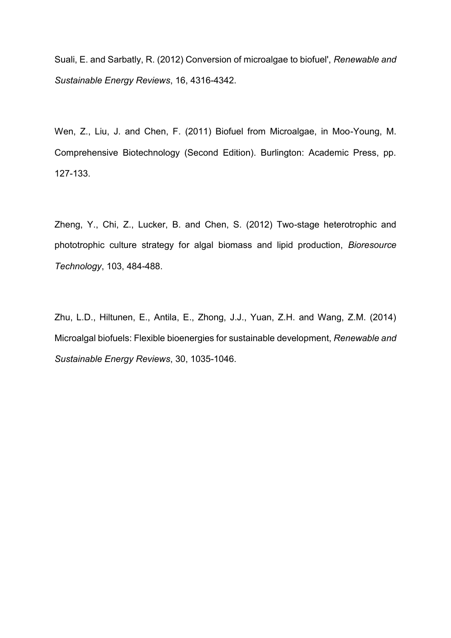Suali, E. and Sarbatly, R. (2012) Conversion of microalgae to biofuel', *Renewable and Sustainable Energy Reviews*, 16, 4316-4342.

Wen, Z., Liu, J. and Chen, F. (2011) Biofuel from Microalgae, in Moo-Young, M. Comprehensive Biotechnology (Second Edition). Burlington: Academic Press, pp. 127-133.

Zheng, Y., Chi, Z., Lucker, B. and Chen, S. (2012) Two-stage heterotrophic and phototrophic culture strategy for algal biomass and lipid production, *Bioresource Technology*, 103, 484-488.

Zhu, L.D., Hiltunen, E., Antila, E., Zhong, J.J., Yuan, Z.H. and Wang, Z.M. (2014) Microalgal biofuels: Flexible bioenergies for sustainable development, *Renewable and Sustainable Energy Reviews*, 30, 1035-1046.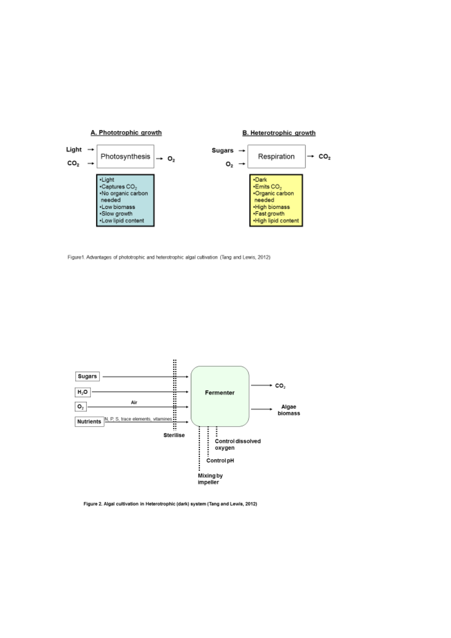

Figure1. Advantages of phototrophic and heterotrophic algal cultivation (Tang and Lewis, 2012)



Figure 2. Algal cultivation in Heterotrophic (dark) system (Tang and Lewis, 2012)